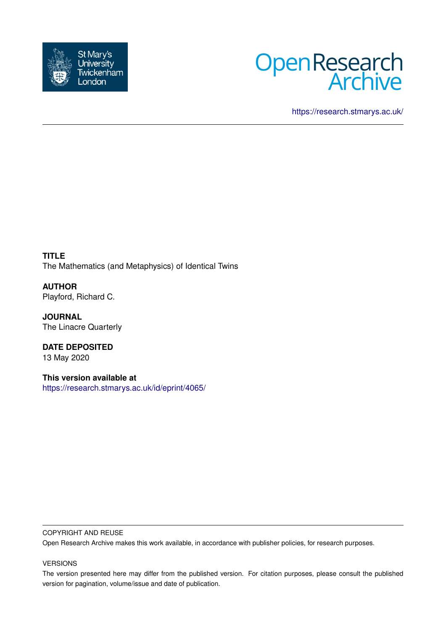



<https://research.stmarys.ac.uk/>

**TITLE** The Mathematics (and Metaphysics) of Identical Twins

**AUTHOR** Playford, Richard C.

**JOURNAL** The Linacre Quarterly

**DATE DEPOSITED** 13 May 2020

**This version available at** <https://research.stmarys.ac.uk/id/eprint/4065/>

#### COPYRIGHT AND REUSE

Open Research Archive makes this work available, in accordance with publisher policies, for research purposes.

## VERSIONS

The version presented here may differ from the published version. For citation purposes, please consult the published version for pagination, volume/issue and date of publication.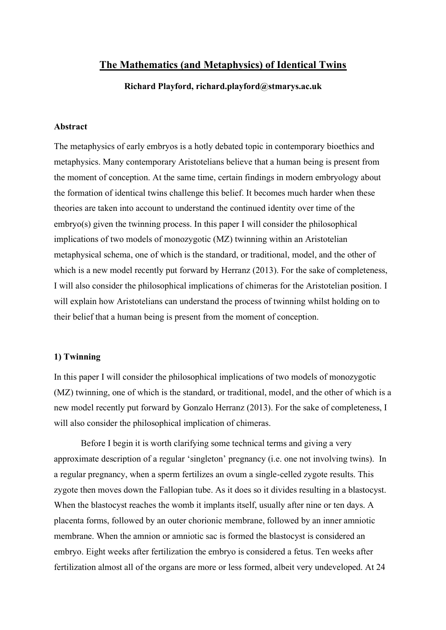# **The Mathematics (and Metaphysics) of Identical Twins**

**Richard Playford, richard.playford@stmarys.ac.uk**

# **Abstract**

The metaphysics of early embryos is a hotly debated topic in contemporary bioethics and metaphysics. Many contemporary Aristotelians believe that a human being is present from the moment of conception. At the same time, certain findings in modern embryology about the formation of identical twins challenge this belief. It becomes much harder when these theories are taken into account to understand the continued identity over time of the embryo(s) given the twinning process. In this paper I will consider the philosophical implications of two models of monozygotic (MZ) twinning within an Aristotelian metaphysical schema, one of which is the standard, or traditional, model, and the other of which is a new model recently put forward by Herranz (2013). For the sake of completeness, I will also consider the philosophical implications of chimeras for the Aristotelian position. I will explain how Aristotelians can understand the process of twinning whilst holding on to their belief that a human being is present from the moment of conception.

# **1) Twinning**

In this paper I will consider the philosophical implications of two models of monozygotic (MZ) twinning, one of which is the standard, or traditional, model, and the other of which is a new model recently put forward by Gonzalo Herranz (2013). For the sake of completeness, I will also consider the philosophical implication of chimeras.

Before I begin it is worth clarifying some technical terms and giving a very approximate description of a regular 'singleton' pregnancy (i.e. one not involving twins). In a regular pregnancy, when a sperm fertilizes an ovum a single-celled zygote results. This zygote then moves down the Fallopian tube. As it does so it divides resulting in a blastocyst. When the blastocyst reaches the womb it implants itself, usually after nine or ten days. A placenta forms, followed by an outer chorionic membrane, followed by an inner amniotic membrane. When the amnion or amniotic sac is formed the blastocyst is considered an embryo. Eight weeks after fertilization the embryo is considered a fetus. Ten weeks after fertilization almost all of the organs are more or less formed, albeit very undeveloped. At 24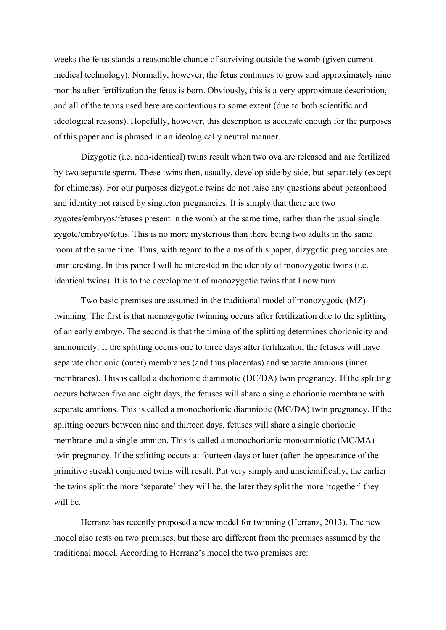weeks the fetus stands a reasonable chance of surviving outside the womb (given current medical technology). Normally, however, the fetus continues to grow and approximately nine months after fertilization the fetus is born. Obviously, this is a very approximate description, and all of the terms used here are contentious to some extent (due to both scientific and ideological reasons). Hopefully, however, this description is accurate enough for the purposes of this paper and is phrased in an ideologically neutral manner.

Dizygotic (i.e. non-identical) twins result when two ova are released and are fertilized by two separate sperm. These twins then, usually, develop side by side, but separately (except for chimeras). For our purposes dizygotic twins do not raise any questions about personhood and identity not raised by singleton pregnancies. It is simply that there are two zygotes/embryos/fetuses present in the womb at the same time, rather than the usual single zygote/embryo/fetus. This is no more mysterious than there being two adults in the same room at the same time. Thus, with regard to the aims of this paper, dizygotic pregnancies are uninteresting. In this paper I will be interested in the identity of monozygotic twins (i.e. identical twins). It is to the development of monozygotic twins that I now turn.

Two basic premises are assumed in the traditional model of monozygotic (MZ) twinning. The first is that monozygotic twinning occurs after fertilization due to the splitting of an early embryo. The second is that the timing of the splitting determines chorionicity and amnionicity. If the splitting occurs one to three days after fertilization the fetuses will have separate chorionic (outer) membranes (and thus placentas) and separate amnions (inner membranes). This is called a dichorionic diamniotic (DC/DA) twin pregnancy. If the splitting occurs between five and eight days, the fetuses will share a single chorionic membrane with separate amnions. This is called a monochorionic diamniotic (MC/DA) twin pregnancy. If the splitting occurs between nine and thirteen days, fetuses will share a single chorionic membrane and a single amnion. This is called a monochorionic monoamniotic (MC/MA) twin pregnancy. If the splitting occurs at fourteen days or later (after the appearance of the primitive streak) conjoined twins will result. Put very simply and unscientifically, the earlier the twins split the more 'separate' they will be, the later they split the more 'together' they will be.

Herranz has recently proposed a new model for twinning (Herranz, 2013). The new model also rests on two premises, but these are different from the premises assumed by the traditional model. According to Herranz's model the two premises are: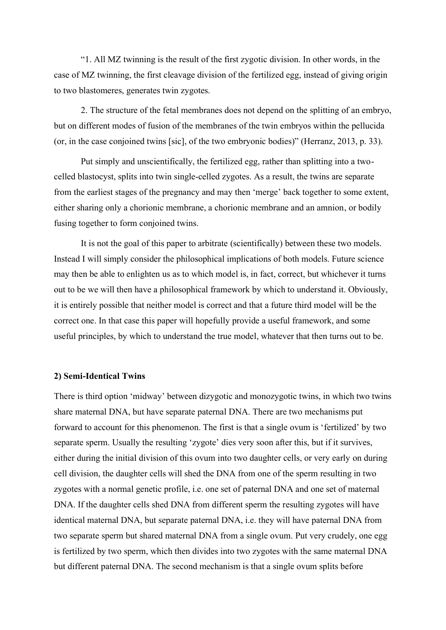"1. All MZ twinning is the result of the first zygotic division. In other words, in the case of MZ twinning, the first cleavage division of the fertilized egg, instead of giving origin to two blastomeres, generates twin zygotes.

2. The structure of the fetal membranes does not depend on the splitting of an embryo, but on different modes of fusion of the membranes of the twin embryos within the pellucida (or, in the case conjoined twins [sic], of the two embryonic bodies)" (Herranz, 2013, p. 33).

Put simply and unscientifically, the fertilized egg, rather than splitting into a twocelled blastocyst, splits into twin single-celled zygotes. As a result, the twins are separate from the earliest stages of the pregnancy and may then 'merge' back together to some extent, either sharing only a chorionic membrane, a chorionic membrane and an amnion, or bodily fusing together to form conjoined twins.

It is not the goal of this paper to arbitrate (scientifically) between these two models. Instead I will simply consider the philosophical implications of both models. Future science may then be able to enlighten us as to which model is, in fact, correct, but whichever it turns out to be we will then have a philosophical framework by which to understand it. Obviously, it is entirely possible that neither model is correct and that a future third model will be the correct one. In that case this paper will hopefully provide a useful framework, and some useful principles, by which to understand the true model, whatever that then turns out to be.

#### **2) Semi-Identical Twins**

There is third option 'midway' between dizygotic and monozygotic twins, in which two twins share maternal DNA, but have separate paternal DNA. There are two mechanisms put forward to account for this phenomenon. The first is that a single ovum is 'fertilized' by two separate sperm. Usually the resulting 'zygote' dies very soon after this, but if it survives, either during the initial division of this ovum into two daughter cells, or very early on during cell division, the daughter cells will shed the DNA from one of the sperm resulting in two zygotes with a normal genetic profile, i.e. one set of paternal DNA and one set of maternal DNA. If the daughter cells shed DNA from different sperm the resulting zygotes will have identical maternal DNA, but separate paternal DNA, i.e. they will have paternal DNA from two separate sperm but shared maternal DNA from a single ovum. Put very crudely, one egg is fertilized by two sperm, which then divides into two zygotes with the same maternal DNA but different paternal DNA. The second mechanism is that a single ovum splits before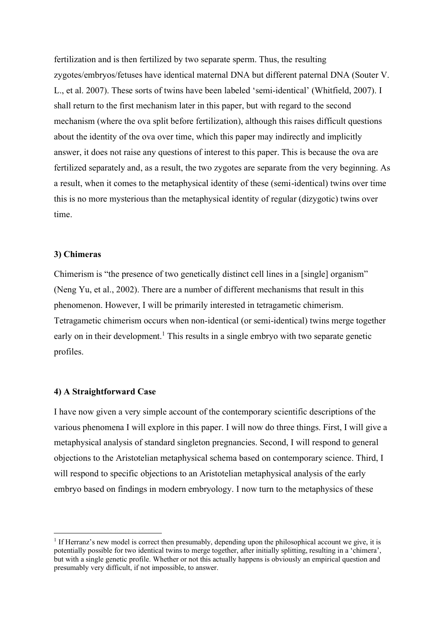fertilization and is then fertilized by two separate sperm. Thus, the resulting zygotes/embryos/fetuses have identical maternal DNA but different paternal DNA (Souter V. L., et al. 2007). These sorts of twins have been labeled 'semi-identical' (Whitfield, 2007). I shall return to the first mechanism later in this paper, but with regard to the second mechanism (where the ova split before fertilization), although this raises difficult questions about the identity of the ova over time, which this paper may indirectly and implicitly answer, it does not raise any questions of interest to this paper. This is because the ova are fertilized separately and, as a result, the two zygotes are separate from the very beginning. As a result, when it comes to the metaphysical identity of these (semi-identical) twins over time this is no more mysterious than the metaphysical identity of regular (dizygotic) twins over time.

## **3) Chimeras**

Chimerism is "the presence of two genetically distinct cell lines in a [single] organism" (Neng Yu, et al., 2002). There are a number of different mechanisms that result in this phenomenon. However, I will be primarily interested in tetragametic chimerism. Tetragametic chimerism occurs when non-identical (or semi-identical) twins merge together early on in their development.<sup>1</sup> This results in a single embryo with two separate genetic profiles.

## **4) A Straightforward Case**

I have now given a very simple account of the contemporary scientific descriptions of the various phenomena I will explore in this paper. I will now do three things. First, I will give a metaphysical analysis of standard singleton pregnancies. Second, I will respond to general objections to the Aristotelian metaphysical schema based on contemporary science. Third, I will respond to specific objections to an Aristotelian metaphysical analysis of the early embryo based on findings in modern embryology. I now turn to the metaphysics of these

<sup>&</sup>lt;sup>1</sup> If Herranz's new model is correct then presumably, depending upon the philosophical account we give, it is potentially possible for two identical twins to merge together, after initially splitting, resulting in a 'chimera', but with a single genetic profile. Whether or not this actually happens is obviously an empirical question and presumably very difficult, if not impossible, to answer.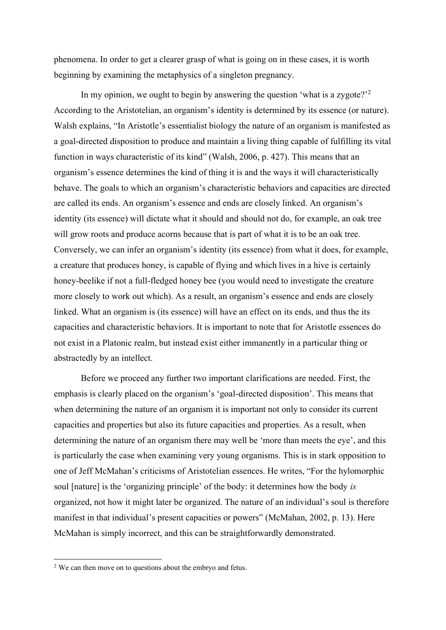phenomena. In order to get a clearer grasp of what is going on in these cases, it is worth beginning by examining the metaphysics of a singleton pregnancy.

In my opinion, we ought to begin by answering the question 'what is a zygote?<sup> $2$ </sup> According to the Aristotelian, an organism's identity is determined by its essence (or nature). Walsh explains, "In Aristotle's essentialist biology the nature of an organism is manifested as a goal-directed disposition to produce and maintain a living thing capable of fulfilling its vital function in ways characteristic of its kind" (Walsh, 2006, p. 427). This means that an organism's essence determines the kind of thing it is and the ways it will characteristically behave. The goals to which an organism's characteristic behaviors and capacities are directed are called its ends. An organism's essence and ends are closely linked. An organism's identity (its essence) will dictate what it should and should not do, for example, an oak tree will grow roots and produce acorns because that is part of what it is to be an oak tree. Conversely, we can infer an organism's identity (its essence) from what it does, for example, a creature that produces honey, is capable of flying and which lives in a hive is certainly honey-beelike if not a full-fledged honey bee (you would need to investigate the creature more closely to work out which). As a result, an organism's essence and ends are closely linked. What an organism is (its essence) will have an effect on its ends, and thus the its capacities and characteristic behaviors. It is important to note that for Aristotle essences do not exist in a Platonic realm, but instead exist either immanently in a particular thing or abstractedly by an intellect.

Before we proceed any further two important clarifications are needed. First, the emphasis is clearly placed on the organism's 'goal-directed disposition'. This means that when determining the nature of an organism it is important not only to consider its current capacities and properties but also its future capacities and properties. As a result, when determining the nature of an organism there may well be 'more than meets the eye', and this is particularly the case when examining very young organisms. This is in stark opposition to one of Jeff McMahan's criticisms of Aristotelian essences. He writes, "For the hylomorphic soul [nature] is the 'organizing principle' of the body: it determines how the body *is* organized, not how it might later be organized. The nature of an individual's soul is therefore manifest in that individual's present capacities or powers" (McMahan, 2002, p. 13). Here McMahan is simply incorrect, and this can be straightforwardly demonstrated.

<sup>&</sup>lt;sup>2</sup> We can then move on to questions about the embryo and fetus.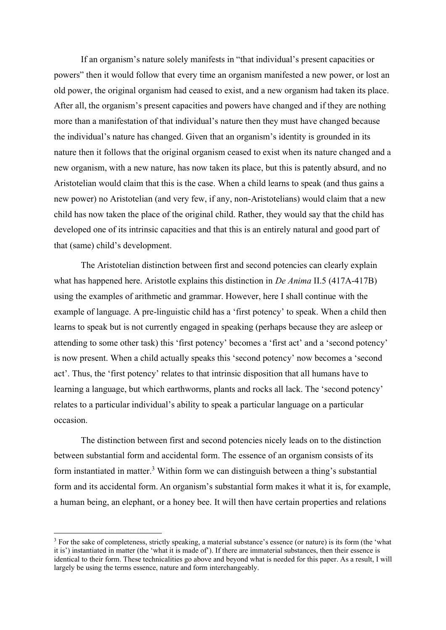If an organism's nature solely manifests in "that individual's present capacities or powers" then it would follow that every time an organism manifested a new power, or lost an old power, the original organism had ceased to exist, and a new organism had taken its place. After all, the organism's present capacities and powers have changed and if they are nothing more than a manifestation of that individual's nature then they must have changed because the individual's nature has changed. Given that an organism's identity is grounded in its nature then it follows that the original organism ceased to exist when its nature changed and a new organism, with a new nature, has now taken its place, but this is patently absurd, and no Aristotelian would claim that this is the case. When a child learns to speak (and thus gains a new power) no Aristotelian (and very few, if any, non-Aristotelians) would claim that a new child has now taken the place of the original child. Rather, they would say that the child has developed one of its intrinsic capacities and that this is an entirely natural and good part of that (same) child's development.

The Aristotelian distinction between first and second potencies can clearly explain what has happened here. Aristotle explains this distinction in *De Anima* II.5 (417A-417B) using the examples of arithmetic and grammar. However, here I shall continue with the example of language. A pre-linguistic child has a 'first potency' to speak. When a child then learns to speak but is not currently engaged in speaking (perhaps because they are asleep or attending to some other task) this 'first potency' becomes a 'first act' and a 'second potency' is now present. When a child actually speaks this 'second potency' now becomes a 'second act'. Thus, the 'first potency' relates to that intrinsic disposition that all humans have to learning a language, but which earthworms, plants and rocks all lack. The 'second potency' relates to a particular individual's ability to speak a particular language on a particular occasion.

The distinction between first and second potencies nicely leads on to the distinction between substantial form and accidental form. The essence of an organism consists of its form instantiated in matter.<sup>3</sup> Within form we can distinguish between a thing's substantial form and its accidental form. An organism's substantial form makes it what it is, for example, a human being, an elephant, or a honey bee. It will then have certain properties and relations

<sup>&</sup>lt;sup>3</sup> For the sake of completeness, strictly speaking, a material substance's essence (or nature) is its form (the 'what it is') instantiated in matter (the 'what it is made of'). If there are immaterial substances, then their essence is identical to their form. These technicalities go above and beyond what is needed for this paper. As a result, I will largely be using the terms essence, nature and form interchangeably.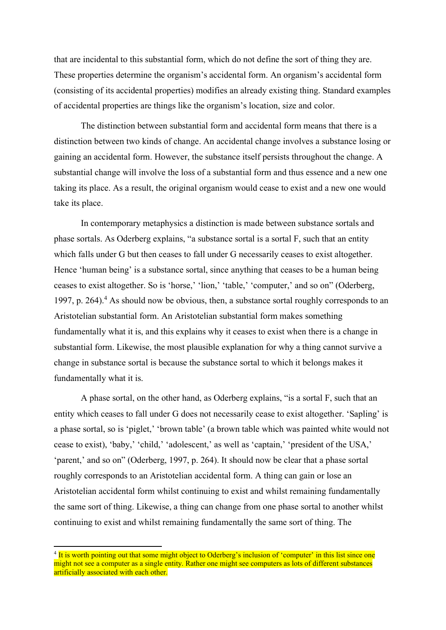that are incidental to this substantial form, which do not define the sort of thing they are. These properties determine the organism's accidental form. An organism's accidental form (consisting of its accidental properties) modifies an already existing thing. Standard examples of accidental properties are things like the organism's location, size and color.

The distinction between substantial form and accidental form means that there is a distinction between two kinds of change. An accidental change involves a substance losing or gaining an accidental form. However, the substance itself persists throughout the change. A substantial change will involve the loss of a substantial form and thus essence and a new one taking its place. As a result, the original organism would cease to exist and a new one would take its place.

In contemporary metaphysics a distinction is made between substance sortals and phase sortals. As Oderberg explains, "a substance sortal is a sortal F, such that an entity which falls under G but then ceases to fall under G necessarily ceases to exist altogether. Hence 'human being' is a substance sortal, since anything that ceases to be a human being ceases to exist altogether. So is 'horse,' 'lion,' 'table,' 'computer,' and so on" (Oderberg, 1997, p. 264).<sup>4</sup> As should now be obvious, then, a substance sortal roughly corresponds to an Aristotelian substantial form. An Aristotelian substantial form makes something fundamentally what it is, and this explains why it ceases to exist when there is a change in substantial form. Likewise, the most plausible explanation for why a thing cannot survive a change in substance sortal is because the substance sortal to which it belongs makes it fundamentally what it is.

A phase sortal, on the other hand, as Oderberg explains, "is a sortal F, such that an entity which ceases to fall under G does not necessarily cease to exist altogether. 'Sapling' is a phase sortal, so is 'piglet,' 'brown table' (a brown table which was painted white would not cease to exist), 'baby,' 'child,' 'adolescent,' as well as 'captain,' 'president of the USA,' 'parent,' and so on" (Oderberg, 1997, p. 264). It should now be clear that a phase sortal roughly corresponds to an Aristotelian accidental form. A thing can gain or lose an Aristotelian accidental form whilst continuing to exist and whilst remaining fundamentally the same sort of thing. Likewise, a thing can change from one phase sortal to another whilst continuing to exist and whilst remaining fundamentally the same sort of thing. The

<sup>&</sup>lt;sup>4</sup> It is worth pointing out that some might object to Oderberg's inclusion of 'computer' in this list since one might not see a computer as a single entity. Rather one might see computers as lots of different substances artificially associated with each other.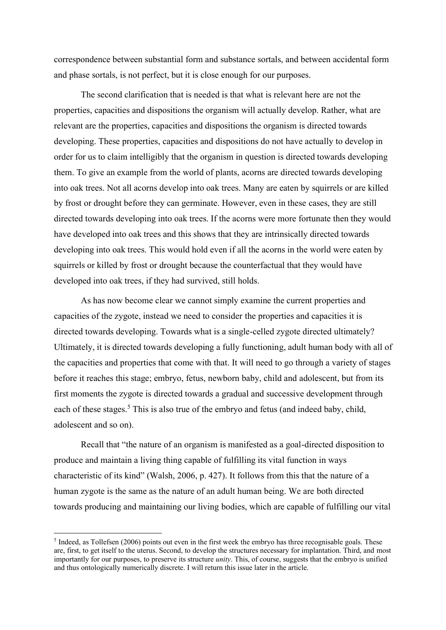correspondence between substantial form and substance sortals, and between accidental form and phase sortals, is not perfect, but it is close enough for our purposes.

The second clarification that is needed is that what is relevant here are not the properties, capacities and dispositions the organism will actually develop. Rather, what are relevant are the properties, capacities and dispositions the organism is directed towards developing. These properties, capacities and dispositions do not have actually to develop in order for us to claim intelligibly that the organism in question is directed towards developing them. To give an example from the world of plants, acorns are directed towards developing into oak trees. Not all acorns develop into oak trees. Many are eaten by squirrels or are killed by frost or drought before they can germinate. However, even in these cases, they are still directed towards developing into oak trees. If the acorns were more fortunate then they would have developed into oak trees and this shows that they are intrinsically directed towards developing into oak trees. This would hold even if all the acorns in the world were eaten by squirrels or killed by frost or drought because the counterfactual that they would have developed into oak trees, if they had survived, still holds.

As has now become clear we cannot simply examine the current properties and capacities of the zygote, instead we need to consider the properties and capacities it is directed towards developing. Towards what is a single-celled zygote directed ultimately? Ultimately, it is directed towards developing a fully functioning, adult human body with all of the capacities and properties that come with that. It will need to go through a variety of stages before it reaches this stage; embryo, fetus, newborn baby, child and adolescent, but from its first moments the zygote is directed towards a gradual and successive development through each of these stages.<sup>5</sup> This is also true of the embryo and fetus (and indeed baby, child, adolescent and so on).

Recall that "the nature of an organism is manifested as a goal-directed disposition to produce and maintain a living thing capable of fulfilling its vital function in ways characteristic of its kind" (Walsh, 2006, p. 427). It follows from this that the nature of a human zygote is the same as the nature of an adult human being. We are both directed towards producing and maintaining our living bodies, which are capable of fulfilling our vital

<sup>&</sup>lt;sup>5</sup> Indeed, as Tollefsen (2006) points out even in the first week the embryo has three recognisable goals. These are, first, to get itself to the uterus. Second, to develop the structures necessary for implantation. Third, and most importantly for our purposes, to preserve its structure *unity*. This, of course, suggests that the embryo is unified and thus ontologically numerically discrete. I will return this issue later in the article.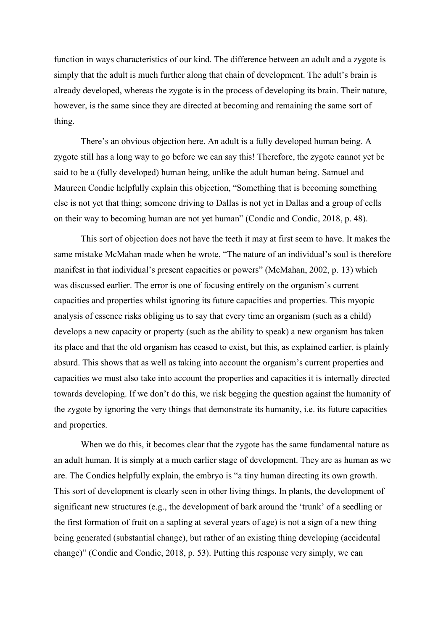function in ways characteristics of our kind. The difference between an adult and a zygote is simply that the adult is much further along that chain of development. The adult's brain is already developed, whereas the zygote is in the process of developing its brain. Their nature, however, is the same since they are directed at becoming and remaining the same sort of thing.

There's an obvious objection here. An adult is a fully developed human being. A zygote still has a long way to go before we can say this! Therefore, the zygote cannot yet be said to be a (fully developed) human being, unlike the adult human being. Samuel and Maureen Condic helpfully explain this objection, "Something that is becoming something else is not yet that thing; someone driving to Dallas is not yet in Dallas and a group of cells on their way to becoming human are not yet human" (Condic and Condic, 2018, p. 48).

This sort of objection does not have the teeth it may at first seem to have. It makes the same mistake McMahan made when he wrote, "The nature of an individual's soul is therefore manifest in that individual's present capacities or powers" (McMahan, 2002, p. 13) which was discussed earlier. The error is one of focusing entirely on the organism's current capacities and properties whilst ignoring its future capacities and properties. This myopic analysis of essence risks obliging us to say that every time an organism (such as a child) develops a new capacity or property (such as the ability to speak) a new organism has taken its place and that the old organism has ceased to exist, but this, as explained earlier, is plainly absurd. This shows that as well as taking into account the organism's current properties and capacities we must also take into account the properties and capacities it is internally directed towards developing. If we don't do this, we risk begging the question against the humanity of the zygote by ignoring the very things that demonstrate its humanity, i.e. its future capacities and properties.

When we do this, it becomes clear that the zygote has the same fundamental nature as an adult human. It is simply at a much earlier stage of development. They are as human as we are. The Condics helpfully explain, the embryo is "a tiny human directing its own growth. This sort of development is clearly seen in other living things. In plants, the development of significant new structures (e.g., the development of bark around the 'trunk' of a seedling or the first formation of fruit on a sapling at several years of age) is not a sign of a new thing being generated (substantial change), but rather of an existing thing developing (accidental change)" (Condic and Condic, 2018, p. 53). Putting this response very simply, we can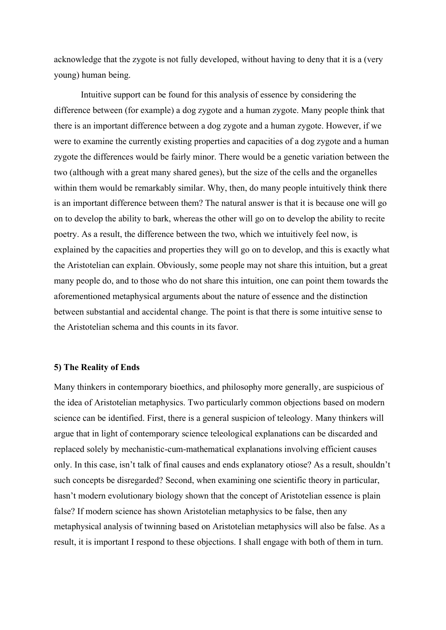acknowledge that the zygote is not fully developed, without having to deny that it is a (very young) human being.

Intuitive support can be found for this analysis of essence by considering the difference between (for example) a dog zygote and a human zygote. Many people think that there is an important difference between a dog zygote and a human zygote. However, if we were to examine the currently existing properties and capacities of a dog zygote and a human zygote the differences would be fairly minor. There would be a genetic variation between the two (although with a great many shared genes), but the size of the cells and the organelles within them would be remarkably similar. Why, then, do many people intuitively think there is an important difference between them? The natural answer is that it is because one will go on to develop the ability to bark, whereas the other will go on to develop the ability to recite poetry. As a result, the difference between the two, which we intuitively feel now, is explained by the capacities and properties they will go on to develop, and this is exactly what the Aristotelian can explain. Obviously, some people may not share this intuition, but a great many people do, and to those who do not share this intuition, one can point them towards the aforementioned metaphysical arguments about the nature of essence and the distinction between substantial and accidental change. The point is that there is some intuitive sense to the Aristotelian schema and this counts in its favor.

#### **5) The Reality of Ends**

Many thinkers in contemporary bioethics, and philosophy more generally, are suspicious of the idea of Aristotelian metaphysics. Two particularly common objections based on modern science can be identified. First, there is a general suspicion of teleology. Many thinkers will argue that in light of contemporary science teleological explanations can be discarded and replaced solely by mechanistic-cum-mathematical explanations involving efficient causes only. In this case, isn't talk of final causes and ends explanatory otiose? As a result, shouldn't such concepts be disregarded? Second, when examining one scientific theory in particular, hasn't modern evolutionary biology shown that the concept of Aristotelian essence is plain false? If modern science has shown Aristotelian metaphysics to be false, then any metaphysical analysis of twinning based on Aristotelian metaphysics will also be false. As a result, it is important I respond to these objections. I shall engage with both of them in turn.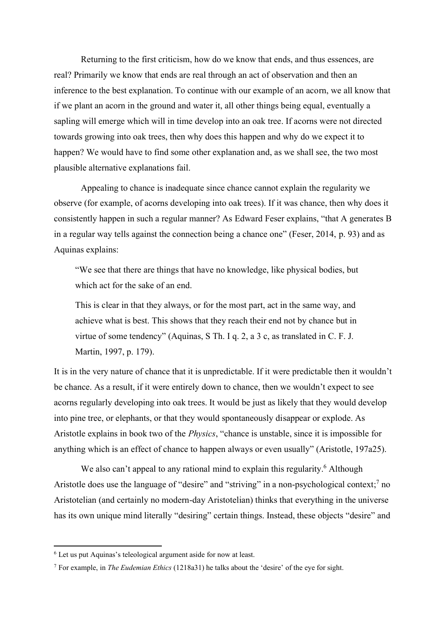Returning to the first criticism, how do we know that ends, and thus essences, are real? Primarily we know that ends are real through an act of observation and then an inference to the best explanation. To continue with our example of an acorn, we all know that if we plant an acorn in the ground and water it, all other things being equal, eventually a sapling will emerge which will in time develop into an oak tree. If acorns were not directed towards growing into oak trees, then why does this happen and why do we expect it to happen? We would have to find some other explanation and, as we shall see, the two most plausible alternative explanations fail.

Appealing to chance is inadequate since chance cannot explain the regularity we observe (for example, of acorns developing into oak trees). If it was chance, then why does it consistently happen in such a regular manner? As Edward Feser explains, "that A generates B in a regular way tells against the connection being a chance one" (Feser, 2014, p. 93) and as Aquinas explains:

"We see that there are things that have no knowledge, like physical bodies, but which act for the sake of an end.

This is clear in that they always, or for the most part, act in the same way, and achieve what is best. This shows that they reach their end not by chance but in virtue of some tendency" (Aquinas, S Th. I q. 2, a 3 c, as translated in C. F. J. Martin, 1997, p. 179).

It is in the very nature of chance that it is unpredictable. If it were predictable then it wouldn't be chance. As a result, if it were entirely down to chance, then we wouldn't expect to see acorns regularly developing into oak trees. It would be just as likely that they would develop into pine tree, or elephants, or that they would spontaneously disappear or explode. As Aristotle explains in book two of the *Physics*, "chance is unstable, since it is impossible for anything which is an effect of chance to happen always or even usually" (Aristotle, 197a25).

We also can't appeal to any rational mind to explain this regularity.<sup>6</sup> Although Aristotle does use the language of "desire" and "striving" in a non-psychological context;<sup>7</sup> no Aristotelian (and certainly no modern-day Aristotelian) thinks that everything in the universe has its own unique mind literally "desiring" certain things. Instead, these objects "desire" and

 $6$  Let us put Aquinas's teleological argument aside for now at least.

<sup>7</sup> For example, in *The Eudemian Ethics* (1218a31) he talks about the 'desire' of the eye for sight.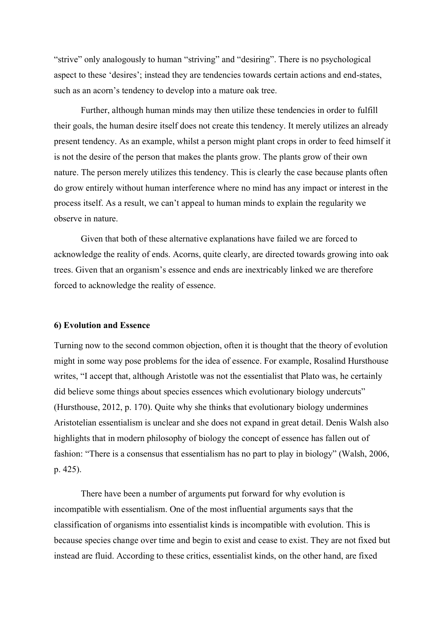"strive" only analogously to human "striving" and "desiring". There is no psychological aspect to these 'desires'; instead they are tendencies towards certain actions and end-states, such as an acorn's tendency to develop into a mature oak tree.

Further, although human minds may then utilize these tendencies in order to fulfill their goals, the human desire itself does not create this tendency. It merely utilizes an already present tendency. As an example, whilst a person might plant crops in order to feed himself it is not the desire of the person that makes the plants grow. The plants grow of their own nature. The person merely utilizes this tendency. This is clearly the case because plants often do grow entirely without human interference where no mind has any impact or interest in the process itself. As a result, we can't appeal to human minds to explain the regularity we observe in nature.

Given that both of these alternative explanations have failed we are forced to acknowledge the reality of ends. Acorns, quite clearly, are directed towards growing into oak trees. Given that an organism's essence and ends are inextricably linked we are therefore forced to acknowledge the reality of essence.

#### **6) Evolution and Essence**

Turning now to the second common objection, often it is thought that the theory of evolution might in some way pose problems for the idea of essence. For example, Rosalind Hursthouse writes, "I accept that, although Aristotle was not the essentialist that Plato was, he certainly did believe some things about species essences which evolutionary biology undercuts" (Hursthouse, 2012, p. 170). Quite why she thinks that evolutionary biology undermines Aristotelian essentialism is unclear and she does not expand in great detail. Denis Walsh also highlights that in modern philosophy of biology the concept of essence has fallen out of fashion: "There is a consensus that essentialism has no part to play in biology" (Walsh, 2006, p. 425).

There have been a number of arguments put forward for why evolution is incompatible with essentialism. One of the most influential arguments says that the classification of organisms into essentialist kinds is incompatible with evolution. This is because species change over time and begin to exist and cease to exist. They are not fixed but instead are fluid. According to these critics, essentialist kinds, on the other hand, are fixed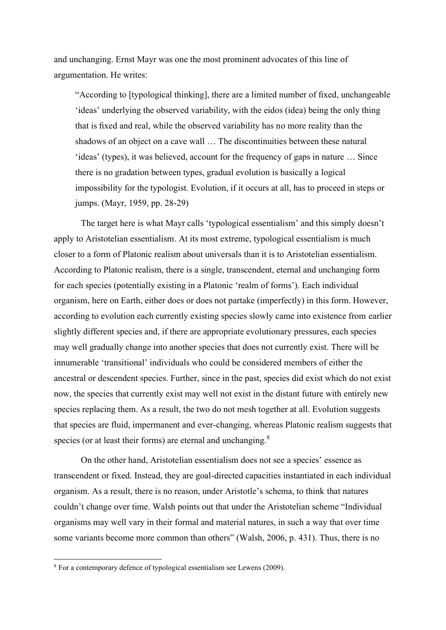and unchanging. Ernst Mayr was one the most prominent advocates of this line of argumentation. He writes:

"According to [typological thinking], there are a limited number of fixed, unchangeable 'ideas' underlying the observed variability, with the eidos (idea) being the only thing that is fixed and real, while the observed variability has no more reality than the shadows of an object on a cave wall … The discontinuities between these natural 'ideas' (types), it was believed, account for the frequency of gaps in nature … Since there is no gradation between types, gradual evolution is basically a logical impossibility for the typologist. Evolution, if it occurs at all, has to proceed in steps or jumps. (Mayr, 1959, pp. 28-29)

The target here is what Mayr calls 'typological essentialism' and this simply doesn't apply to Aristotelian essentialism. At its most extreme, typological essentialism is much closer to a form of Platonic realism about universals than it is to Aristotelian essentialism. According to Platonic realism, there is a single, transcendent, eternal and unchanging form for each species (potentially existing in a Platonic 'realm of forms'). Each individual organism, here on Earth, either does or does not partake (imperfectly) in this form. However, according to evolution each currently existing species slowly came into existence from earlier slightly different species and, if there are appropriate evolutionary pressures, each species may well gradually change into another species that does not currently exist. There will be innumerable 'transitional' individuals who could be considered members of either the ancestral or descendent species. Further, since in the past, species did exist which do not exist now, the species that currently exist may well not exist in the distant future with entirely new species replacing them. As a result, the two do not mesh together at all. Evolution suggests that species are fluid, impermanent and ever-changing, whereas Platonic realism suggests that species (or at least their forms) are eternal and unchanging. $8$ 

On the other hand, Aristotelian essentialism does not see a species' essence as transcendent or fixed. Instead, they are goal-directed capacities instantiated in each individual organism. As a result, there is no reason, under Aristotle's schema, to think that natures couldn't change over time. Walsh points out that under the Aristotelian scheme "Individual organisms may well vary in their formal and material natures, in such a way that over time some variants become more common than others" (Walsh, 2006, p. 431). Thus, there is no

<sup>8</sup> For a contemporary defence of typological essentialism see Lewens (2009).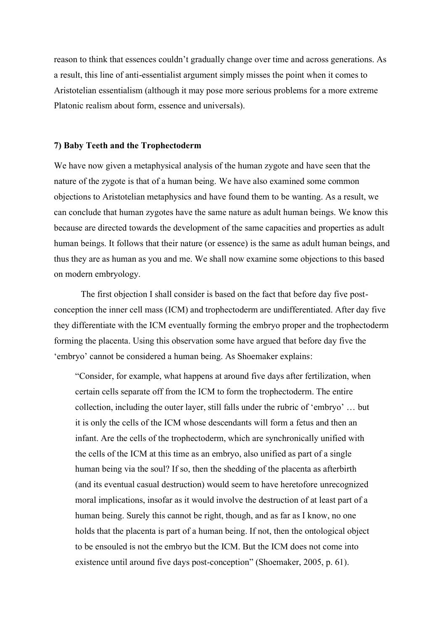reason to think that essences couldn't gradually change over time and across generations. As a result, this line of anti-essentialist argument simply misses the point when it comes to Aristotelian essentialism (although it may pose more serious problems for a more extreme Platonic realism about form, essence and universals).

#### **7) Baby Teeth and the Trophectoderm**

We have now given a metaphysical analysis of the human zygote and have seen that the nature of the zygote is that of a human being. We have also examined some common objections to Aristotelian metaphysics and have found them to be wanting. As a result, we can conclude that human zygotes have the same nature as adult human beings. We know this because are directed towards the development of the same capacities and properties as adult human beings. It follows that their nature (or essence) is the same as adult human beings, and thus they are as human as you and me. We shall now examine some objections to this based on modern embryology.

The first objection I shall consider is based on the fact that before day five postconception the inner cell mass (ICM) and trophectoderm are undifferentiated. After day five they differentiate with the ICM eventually forming the embryo proper and the trophectoderm forming the placenta. Using this observation some have argued that before day five the 'embryo' cannot be considered a human being. As Shoemaker explains:

"Consider, for example, what happens at around five days after fertilization, when certain cells separate off from the ICM to form the trophectoderm. The entire collection, including the outer layer, still falls under the rubric of 'embryo' … but it is only the cells of the ICM whose descendants will form a fetus and then an infant. Are the cells of the trophectoderm, which are synchronically unified with the cells of the ICM at this time as an embryo, also unified as part of a single human being via the soul? If so, then the shedding of the placenta as afterbirth (and its eventual casual destruction) would seem to have heretofore unrecognized moral implications, insofar as it would involve the destruction of at least part of a human being. Surely this cannot be right, though, and as far as I know, no one holds that the placenta is part of a human being. If not, then the ontological object to be ensouled is not the embryo but the ICM. But the ICM does not come into existence until around five days post-conception" (Shoemaker, 2005, p. 61).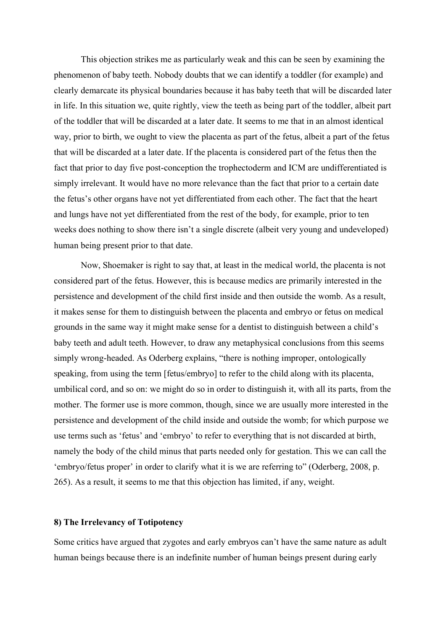This objection strikes me as particularly weak and this can be seen by examining the phenomenon of baby teeth. Nobody doubts that we can identify a toddler (for example) and clearly demarcate its physical boundaries because it has baby teeth that will be discarded later in life. In this situation we, quite rightly, view the teeth as being part of the toddler, albeit part of the toddler that will be discarded at a later date. It seems to me that in an almost identical way, prior to birth, we ought to view the placenta as part of the fetus, albeit a part of the fetus that will be discarded at a later date. If the placenta is considered part of the fetus then the fact that prior to day five post-conception the trophectoderm and ICM are undifferentiated is simply irrelevant. It would have no more relevance than the fact that prior to a certain date the fetus's other organs have not yet differentiated from each other. The fact that the heart and lungs have not yet differentiated from the rest of the body, for example, prior to ten weeks does nothing to show there isn't a single discrete (albeit very young and undeveloped) human being present prior to that date.

Now, Shoemaker is right to say that, at least in the medical world, the placenta is not considered part of the fetus. However, this is because medics are primarily interested in the persistence and development of the child first inside and then outside the womb. As a result, it makes sense for them to distinguish between the placenta and embryo or fetus on medical grounds in the same way it might make sense for a dentist to distinguish between a child's baby teeth and adult teeth. However, to draw any metaphysical conclusions from this seems simply wrong-headed. As Oderberg explains, "there is nothing improper, ontologically speaking, from using the term [fetus/embryo] to refer to the child along with its placenta, umbilical cord, and so on: we might do so in order to distinguish it, with all its parts, from the mother. The former use is more common, though, since we are usually more interested in the persistence and development of the child inside and outside the womb; for which purpose we use terms such as 'fetus' and 'embryo' to refer to everything that is not discarded at birth, namely the body of the child minus that parts needed only for gestation. This we can call the 'embryo/fetus proper' in order to clarify what it is we are referring to" (Oderberg, 2008, p. 265). As a result, it seems to me that this objection has limited, if any, weight.

## **8) The Irrelevancy of Totipotency**

Some critics have argued that zygotes and early embryos can't have the same nature as adult human beings because there is an indefinite number of human beings present during early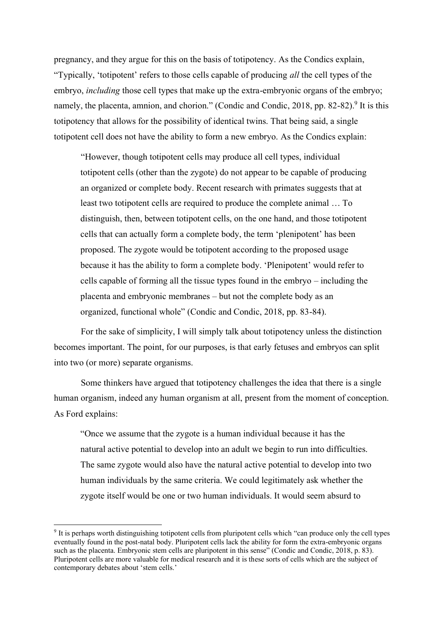pregnancy, and they argue for this on the basis of totipotency. As the Condics explain, "Typically, 'totipotent' refers to those cells capable of producing *all* the cell types of the embryo, *including* those cell types that make up the extra-embryonic organs of the embryo; namely, the placenta, amnion, and chorion." (Condic and Condic, 2018, pp. 82-82).<sup>9</sup> It is this totipotency that allows for the possibility of identical twins. That being said, a single totipotent cell does not have the ability to form a new embryo. As the Condics explain:

"However, though totipotent cells may produce all cell types, individual totipotent cells (other than the zygote) do not appear to be capable of producing an organized or complete body. Recent research with primates suggests that at least two totipotent cells are required to produce the complete animal … To distinguish, then, between totipotent cells, on the one hand, and those totipotent cells that can actually form a complete body, the term 'plenipotent' has been proposed. The zygote would be totipotent according to the proposed usage because it has the ability to form a complete body. 'Plenipotent' would refer to cells capable of forming all the tissue types found in the embryo – including the placenta and embryonic membranes – but not the complete body as an organized, functional whole" (Condic and Condic, 2018, pp. 83-84).

For the sake of simplicity, I will simply talk about totipotency unless the distinction becomes important. The point, for our purposes, is that early fetuses and embryos can split into two (or more) separate organisms.

Some thinkers have argued that totipotency challenges the idea that there is a single human organism, indeed any human organism at all, present from the moment of conception. As Ford explains:

"Once we assume that the zygote is a human individual because it has the natural active potential to develop into an adult we begin to run into difficulties. The same zygote would also have the natural active potential to develop into two human individuals by the same criteria. We could legitimately ask whether the zygote itself would be one or two human individuals. It would seem absurd to

<sup>&</sup>lt;sup>9</sup> It is perhaps worth distinguishing totipotent cells from pluripotent cells which "can produce only the cell types eventually found in the post-natal body. Pluripotent cells lack the ability for form the extra-embryonic organs such as the placenta. Embryonic stem cells are pluripotent in this sense" (Condic and Condic, 2018, p. 83). Pluripotent cells are more valuable for medical research and it is these sorts of cells which are the subject of contemporary debates about 'stem cells.'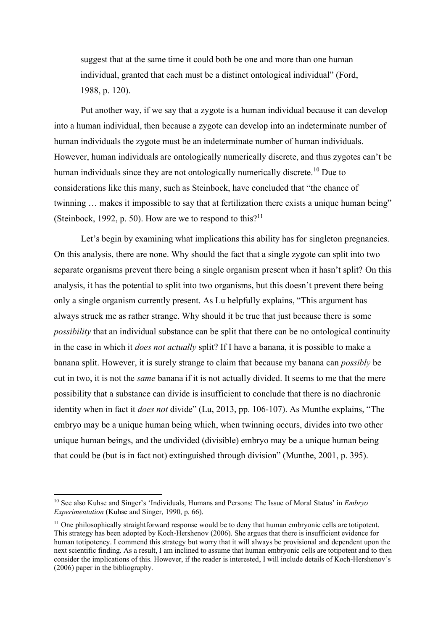suggest that at the same time it could both be one and more than one human individual, granted that each must be a distinct ontological individual" (Ford, 1988, p. 120).

Put another way, if we say that a zygote is a human individual because it can develop into a human individual, then because a zygote can develop into an indeterminate number of human individuals the zygote must be an indeterminate number of human individuals. However, human individuals are ontologically numerically discrete, and thus zygotes can't be human individuals since they are not ontologically numerically discrete.<sup>10</sup> Due to considerations like this many, such as Steinbock, have concluded that "the chance of twinning … makes it impossible to say that at fertilization there exists a unique human being" (Steinbock, 1992, p. 50). How are we to respond to this?<sup>11</sup>

Let's begin by examining what implications this ability has for singleton pregnancies. On this analysis, there are none. Why should the fact that a single zygote can split into two separate organisms prevent there being a single organism present when it hasn't split? On this analysis, it has the potential to split into two organisms, but this doesn't prevent there being only a single organism currently present. As Lu helpfully explains, "This argument has always struck me as rather strange. Why should it be true that just because there is some *possibility* that an individual substance can be split that there can be no ontological continuity in the case in which it *does not actually* split? If I have a banana, it is possible to make a banana split. However, it is surely strange to claim that because my banana can *possibly* be cut in two, it is not the *same* banana if it is not actually divided. It seems to me that the mere possibility that a substance can divide is insufficient to conclude that there is no diachronic identity when in fact it *does not* divide" (Lu, 2013, pp. 106-107). As Munthe explains, "The embryo may be a unique human being which, when twinning occurs, divides into two other unique human beings, and the undivided (divisible) embryo may be a unique human being that could be (but is in fact not) extinguished through division" (Munthe, 2001, p. 395).

<sup>10</sup> See also Kuhse and Singer's 'Individuals, Humans and Persons: The Issue of Moral Status' in *Embryo Experimentation* (Kuhse and Singer, 1990, p. 66).

<sup>&</sup>lt;sup>11</sup> One philosophically straightforward response would be to deny that human embryonic cells are totipotent. This strategy has been adopted by Koch-Hershenov (2006). She argues that there is insufficient evidence for human totipotency. I commend this strategy but worry that it will always be provisional and dependent upon the next scientific finding. As a result, I am inclined to assume that human embryonic cells are totipotent and to then consider the implications of this. However, if the reader is interested, I will include details of Koch-Hershenov's (2006) paper in the bibliography.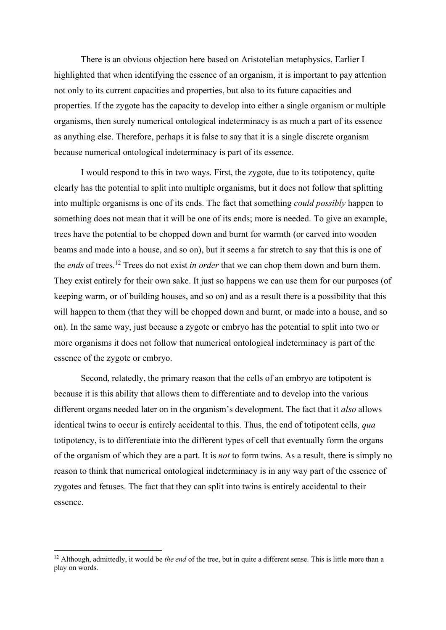There is an obvious objection here based on Aristotelian metaphysics. Earlier I highlighted that when identifying the essence of an organism, it is important to pay attention not only to its current capacities and properties, but also to its future capacities and properties. If the zygote has the capacity to develop into either a single organism or multiple organisms, then surely numerical ontological indeterminacy is as much a part of its essence as anything else. Therefore, perhaps it is false to say that it is a single discrete organism because numerical ontological indeterminacy is part of its essence.

I would respond to this in two ways. First, the zygote, due to its totipotency, quite clearly has the potential to split into multiple organisms, but it does not follow that splitting into multiple organisms is one of its ends. The fact that something *could possibly* happen to something does not mean that it will be one of its ends; more is needed. To give an example, trees have the potential to be chopped down and burnt for warmth (or carved into wooden beams and made into a house, and so on), but it seems a far stretch to say that this is one of the *ends* of trees.<sup>12</sup> Trees do not exist *in order* that we can chop them down and burn them. They exist entirely for their own sake. It just so happens we can use them for our purposes (of keeping warm, or of building houses, and so on) and as a result there is a possibility that this will happen to them (that they will be chopped down and burnt, or made into a house, and so on). In the same way, just because a zygote or embryo has the potential to split into two or more organisms it does not follow that numerical ontological indeterminacy is part of the essence of the zygote or embryo.

Second, relatedly, the primary reason that the cells of an embryo are totipotent is because it is this ability that allows them to differentiate and to develop into the various different organs needed later on in the organism's development. The fact that it *also* allows identical twins to occur is entirely accidental to this. Thus, the end of totipotent cells, *qua* totipotency, is to differentiate into the different types of cell that eventually form the organs of the organism of which they are a part. It is *not* to form twins. As a result, there is simply no reason to think that numerical ontological indeterminacy is in any way part of the essence of zygotes and fetuses. The fact that they can split into twins is entirely accidental to their essence.

<sup>&</sup>lt;sup>12</sup> Although, admittedly, it would be *the end* of the tree, but in quite a different sense. This is little more than a play on words.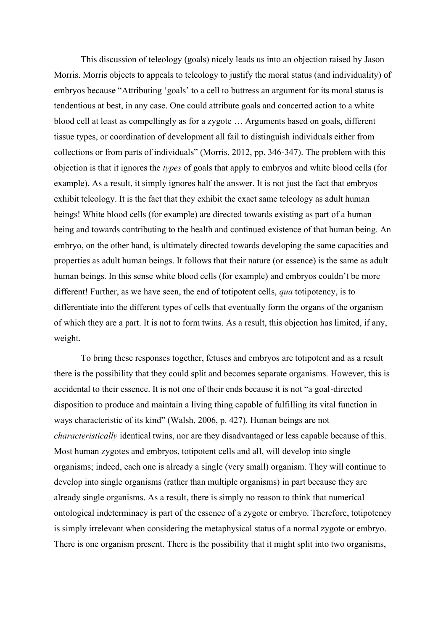This discussion of teleology (goals) nicely leads us into an objection raised by Jason Morris. Morris objects to appeals to teleology to justify the moral status (and individuality) of embryos because "Attributing 'goals' to a cell to buttress an argument for its moral status is tendentious at best, in any case. One could attribute goals and concerted action to a white blood cell at least as compellingly as for a zygote … Arguments based on goals, different tissue types, or coordination of development all fail to distinguish individuals either from collections or from parts of individuals" (Morris, 2012, pp. 346-347). The problem with this objection is that it ignores the *types* of goals that apply to embryos and white blood cells (for example). As a result, it simply ignores half the answer. It is not just the fact that embryos exhibit teleology. It is the fact that they exhibit the exact same teleology as adult human beings! White blood cells (for example) are directed towards existing as part of a human being and towards contributing to the health and continued existence of that human being. An embryo, on the other hand, is ultimately directed towards developing the same capacities and properties as adult human beings. It follows that their nature (or essence) is the same as adult human beings. In this sense white blood cells (for example) and embryos couldn't be more different! Further, as we have seen, the end of totipotent cells, *qua* totipotency, is to differentiate into the different types of cells that eventually form the organs of the organism of which they are a part. It is not to form twins. As a result, this objection has limited, if any, weight.

To bring these responses together, fetuses and embryos are totipotent and as a result there is the possibility that they could split and becomes separate organisms. However, this is accidental to their essence. It is not one of their ends because it is not "a goal-directed disposition to produce and maintain a living thing capable of fulfilling its vital function in ways characteristic of its kind" (Walsh, 2006, p. 427). Human beings are not *characteristically* identical twins, nor are they disadvantaged or less capable because of this. Most human zygotes and embryos, totipotent cells and all, will develop into single organisms; indeed, each one is already a single (very small) organism. They will continue to develop into single organisms (rather than multiple organisms) in part because they are already single organisms. As a result, there is simply no reason to think that numerical ontological indeterminacy is part of the essence of a zygote or embryo. Therefore, totipotency is simply irrelevant when considering the metaphysical status of a normal zygote or embryo. There is one organism present. There is the possibility that it might split into two organisms,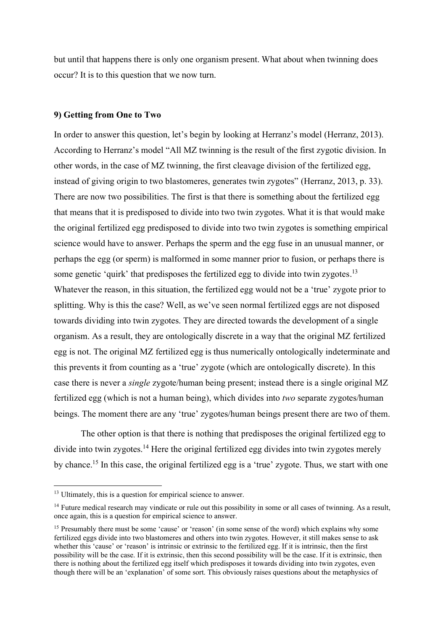but until that happens there is only one organism present. What about when twinning does occur? It is to this question that we now turn.

#### **9) Getting from One to Two**

In order to answer this question, let's begin by looking at Herranz's model (Herranz, 2013). According to Herranz's model "All MZ twinning is the result of the first zygotic division. In other words, in the case of MZ twinning, the first cleavage division of the fertilized egg, instead of giving origin to two blastomeres, generates twin zygotes" (Herranz, 2013, p. 33). There are now two possibilities. The first is that there is something about the fertilized egg that means that it is predisposed to divide into two twin zygotes. What it is that would make the original fertilized egg predisposed to divide into two twin zygotes is something empirical science would have to answer. Perhaps the sperm and the egg fuse in an unusual manner, or perhaps the egg (or sperm) is malformed in some manner prior to fusion, or perhaps there is some genetic 'quirk' that predisposes the fertilized egg to divide into twin zygotes.<sup>13</sup> Whatever the reason, in this situation, the fertilized egg would not be a 'true' zygote prior to splitting. Why is this the case? Well, as we've seen normal fertilized eggs are not disposed towards dividing into twin zygotes. They are directed towards the development of a single organism. As a result, they are ontologically discrete in a way that the original MZ fertilized egg is not. The original MZ fertilized egg is thus numerically ontologically indeterminate and this prevents it from counting as a 'true' zygote (which are ontologically discrete). In this case there is never a *single* zygote/human being present; instead there is a single original MZ fertilized egg (which is not a human being), which divides into *two* separate zygotes/human beings. The moment there are any 'true' zygotes/human beings present there are two of them.

The other option is that there is nothing that predisposes the original fertilized egg to divide into twin zygotes.<sup>14</sup> Here the original fertilized egg divides into twin zygotes merely by chance.<sup>15</sup> In this case, the original fertilized egg is a 'true' zygote. Thus, we start with one

<sup>&</sup>lt;sup>13</sup> Ultimately, this is a question for empirical science to answer.

<sup>&</sup>lt;sup>14</sup> Future medical research may vindicate or rule out this possibility in some or all cases of twinning. As a result, once again, this is a question for empirical science to answer.

<sup>&</sup>lt;sup>15</sup> Presumably there must be some 'cause' or 'reason' (in some sense of the word) which explains why some fertilized eggs divide into two blastomeres and others into twin zygotes. However, it still makes sense to ask whether this 'cause' or 'reason' is intrinsic or extrinsic to the fertilized egg. If it is intrinsic, then the first possibility will be the case. If it is extrinsic, then this second possibility will be the case. If it is extrinsic, then there is nothing about the fertilized egg itself which predisposes it towards dividing into twin zygotes, even though there will be an 'explanation' of some sort. This obviously raises questions about the metaphysics of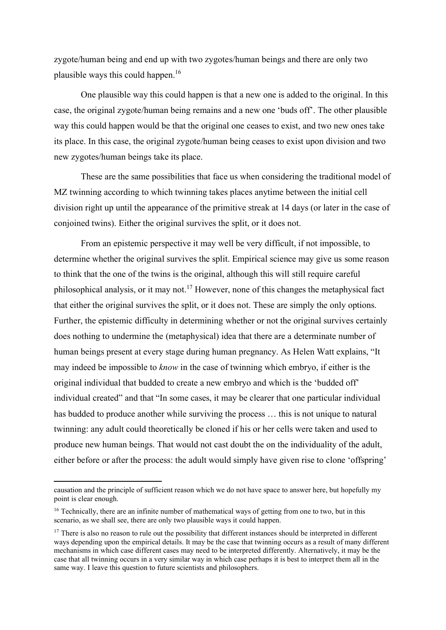zygote/human being and end up with two zygotes/human beings and there are only two plausible ways this could happen.<sup>16</sup>

One plausible way this could happen is that a new one is added to the original. In this case, the original zygote/human being remains and a new one 'buds off'. The other plausible way this could happen would be that the original one ceases to exist, and two new ones take its place. In this case, the original zygote/human being ceases to exist upon division and two new zygotes/human beings take its place.

These are the same possibilities that face us when considering the traditional model of MZ twinning according to which twinning takes places anytime between the initial cell division right up until the appearance of the primitive streak at 14 days (or later in the case of conjoined twins). Either the original survives the split, or it does not.

From an epistemic perspective it may well be very difficult, if not impossible, to determine whether the original survives the split. Empirical science may give us some reason to think that the one of the twins is the original, although this will still require careful philosophical analysis, or it may not.<sup>17</sup> However, none of this changes the metaphysical fact that either the original survives the split, or it does not. These are simply the only options. Further, the epistemic difficulty in determining whether or not the original survives certainly does nothing to undermine the (metaphysical) idea that there are a determinate number of human beings present at every stage during human pregnancy. As Helen Watt explains, "It may indeed be impossible to *know* in the case of twinning which embryo, if either is the original individual that budded to create a new embryo and which is the 'budded off' individual created" and that "In some cases, it may be clearer that one particular individual has budded to produce another while surviving the process … this is not unique to natural twinning: any adult could theoretically be cloned if his or her cells were taken and used to produce new human beings. That would not cast doubt the on the individuality of the adult, either before or after the process: the adult would simply have given rise to clone 'offspring'

causation and the principle of sufficient reason which we do not have space to answer here, but hopefully my point is clear enough.

<sup>&</sup>lt;sup>16</sup> Technically, there are an infinite number of mathematical ways of getting from one to two, but in this scenario, as we shall see, there are only two plausible ways it could happen.

 $17$  There is also no reason to rule out the possibility that different instances should be interpreted in different ways depending upon the empirical details. It may be the case that twinning occurs as a result of many different mechanisms in which case different cases may need to be interpreted differently. Alternatively, it may be the case that all twinning occurs in a very similar way in which case perhaps it is best to interpret them all in the same way. I leave this question to future scientists and philosophers.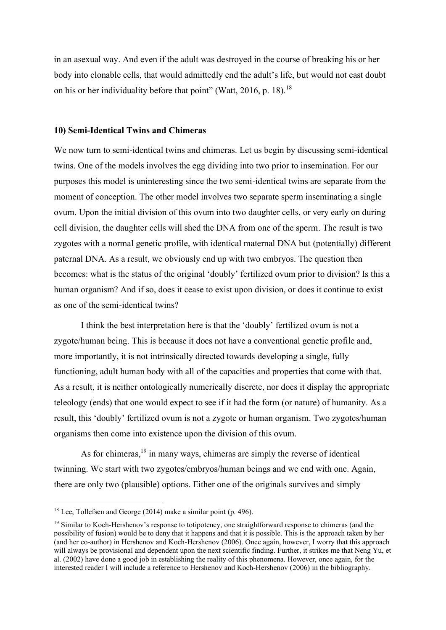in an asexual way. And even if the adult was destroyed in the course of breaking his or her body into clonable cells, that would admittedly end the adult's life, but would not cast doubt on his or her individuality before that point" (Watt, 2016, p. 18).<sup>18</sup>

#### **10) Semi-Identical Twins and Chimeras**

We now turn to semi-identical twins and chimeras. Let us begin by discussing semi-identical twins. One of the models involves the egg dividing into two prior to insemination. For our purposes this model is uninteresting since the two semi-identical twins are separate from the moment of conception. The other model involves two separate sperm inseminating a single ovum. Upon the initial division of this ovum into two daughter cells, or very early on during cell division, the daughter cells will shed the DNA from one of the sperm. The result is two zygotes with a normal genetic profile, with identical maternal DNA but (potentially) different paternal DNA. As a result, we obviously end up with two embryos. The question then becomes: what is the status of the original 'doubly' fertilized ovum prior to division? Is this a human organism? And if so, does it cease to exist upon division, or does it continue to exist as one of the semi-identical twins?

I think the best interpretation here is that the 'doubly' fertilized ovum is not a zygote/human being. This is because it does not have a conventional genetic profile and, more importantly, it is not intrinsically directed towards developing a single, fully functioning, adult human body with all of the capacities and properties that come with that. As a result, it is neither ontologically numerically discrete, nor does it display the appropriate teleology (ends) that one would expect to see if it had the form (or nature) of humanity. As a result, this 'doubly' fertilized ovum is not a zygote or human organism. Two zygotes/human organisms then come into existence upon the division of this ovum.

As for chimeras,<sup>19</sup> in many ways, chimeras are simply the reverse of identical twinning. We start with two zygotes/embryos/human beings and we end with one. Again, there are only two (plausible) options. Either one of the originals survives and simply

 $18$  Lee, Tollefsen and George (2014) make a similar point (p. 496).

<sup>&</sup>lt;sup>19</sup> Similar to Koch-Hershenov's response to totipotency, one straightforward response to chimeras (and the possibility of fusion) would be to deny that it happens and that it is possible. This is the approach taken by her (and her co-author) in Hershenov and Koch-Hershenov (2006). Once again, however, I worry that this approach will always be provisional and dependent upon the next scientific finding. Further, it strikes me that Neng Yu, et al. (2002) have done a good job in establishing the reality of this phenomena. However, once again, for the interested reader I will include a reference to Hershenov and Koch-Hershenov (2006) in the bibliography.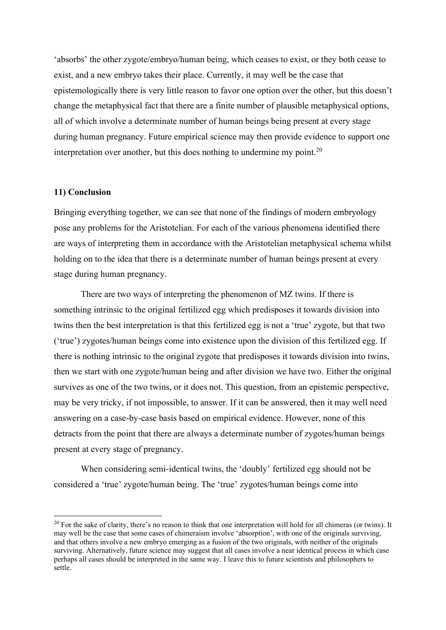'absorbs' the other zygote/embryo/human being, which ceases to exist, or they both cease to exist, and a new embryo takes their place. Currently, it may well be the case that epistemologically there is very little reason to favor one option over the other, but this doesn't change the metaphysical fact that there are a finite number of plausible metaphysical options, all of which involve a determinate number of human beings being present at every stage during human pregnancy. Future empirical science may then provide evidence to support one interpretation over another, but this does nothing to undermine my point.<sup>20</sup>

# **11) Conclusion**

Bringing everything together, we can see that none of the findings of modern embryology pose any problems for the Aristotelian. For each of the various phenomena identified there are ways of interpreting them in accordance with the Aristotelian metaphysical schema whilst holding on to the idea that there is a determinate number of human beings present at every stage during human pregnancy.

There are two ways of interpreting the phenomenon of MZ twins. If there is something intrinsic to the original fertilized egg which predisposes it towards division into twins then the best interpretation is that this fertilized egg is not a 'true' zygote, but that two ('true') zygotes/human beings come into existence upon the division of this fertilized egg. If there is nothing intrinsic to the original zygote that predisposes it towards division into twins, then we start with one zygote/human being and after division we have two. Either the original survives as one of the two twins, or it does not. This question, from an epistemic perspective, may be very tricky, if not impossible, to answer. If it can be answered, then it may well need answering on a case-by-case basis based on empirical evidence. However, none of this detracts from the point that there are always a determinate number of zygotes/human beings present at every stage of pregnancy.

When considering semi-identical twins, the 'doubly' fertilized egg should not be considered a 'true' zygote/human being. The 'true' zygotes/human beings come into

 $20$  For the sake of clarity, there's no reason to think that one interpretation will hold for all chimeras (or twins). It may well be the case that some cases of chimeraism involve 'absorption', with one of the originals surviving, and that others involve a new embryo emerging as a fusion of the two originals, with neither of the originals surviving. Alternatively, future science may suggest that all cases involve a near identical process in which case perhaps all cases should be interpreted in the same way. I leave this to future scientists and philosophers to settle.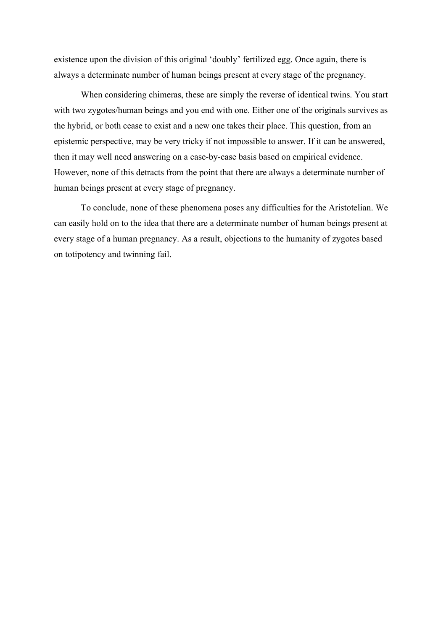existence upon the division of this original 'doubly' fertilized egg. Once again, there is always a determinate number of human beings present at every stage of the pregnancy.

When considering chimeras, these are simply the reverse of identical twins. You start with two zygotes/human beings and you end with one. Either one of the originals survives as the hybrid, or both cease to exist and a new one takes their place. This question, from an epistemic perspective, may be very tricky if not impossible to answer. If it can be answered, then it may well need answering on a case-by-case basis based on empirical evidence. However, none of this detracts from the point that there are always a determinate number of human beings present at every stage of pregnancy.

To conclude, none of these phenomena poses any difficulties for the Aristotelian. We can easily hold on to the idea that there are a determinate number of human beings present at every stage of a human pregnancy. As a result, objections to the humanity of zygotes based on totipotency and twinning fail.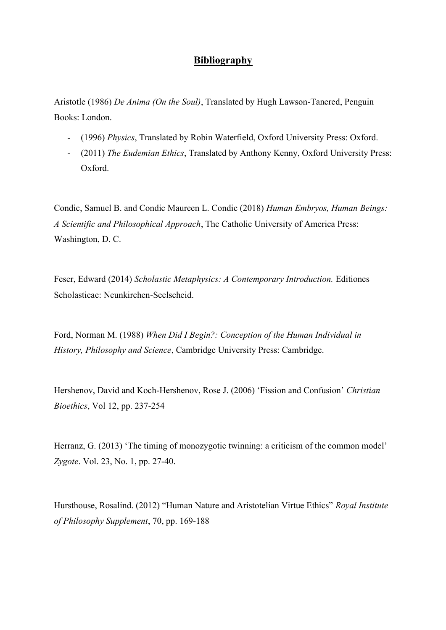# **Bibliography**

Aristotle (1986) *De Anima (On the Soul)*, Translated by Hugh Lawson-Tancred, Penguin Books: London.

- (1996) *Physics*, Translated by Robin Waterfield, Oxford University Press: Oxford.
- (2011) *The Eudemian Ethics*, Translated by Anthony Kenny, Oxford University Press: Oxford.

Condic, Samuel B. and Condic Maureen L. Condic (2018) *Human Embryos, Human Beings: A Scientific and Philosophical Approach*, The Catholic University of America Press: Washington, D. C.

Feser, Edward (2014) *Scholastic Metaphysics: A Contemporary Introduction.* Editiones Scholasticae: Neunkirchen-Seelscheid.

Ford, Norman M. (1988) *When Did I Begin?: Conception of the Human Individual in History, Philosophy and Science*, Cambridge University Press: Cambridge.

Hershenov, David and Koch-Hershenov, Rose J. (2006) 'Fission and Confusion' *Christian Bioethics*, Vol 12, pp. 237-254

Herranz, G. (2013) 'The timing of monozygotic twinning: a criticism of the common model' *Zygote*. Vol. 23, No. 1, pp. 27-40.

Hursthouse, Rosalind. (2012) "Human Nature and Aristotelian Virtue Ethics" *Royal Institute of Philosophy Supplement*, 70, pp. 169-188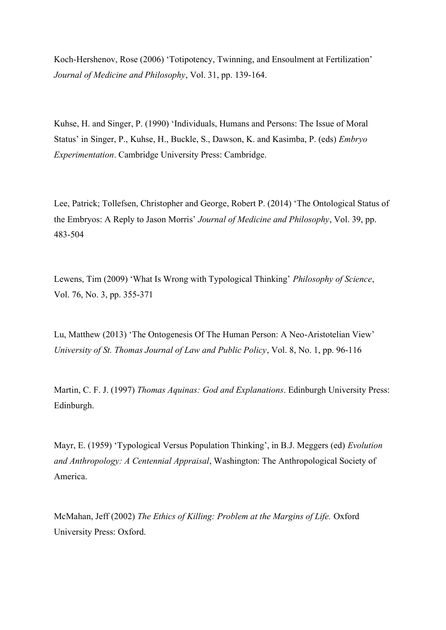Koch-Hershenov, Rose (2006) 'Totipotency, Twinning, and Ensoulment at Fertilization' *Journal of Medicine and Philosophy*, Vol. 31, pp. 139-164.

Kuhse, H. and Singer, P. (1990) 'Individuals, Humans and Persons: The Issue of Moral Status' in Singer, P., Kuhse, H., Buckle, S., Dawson, K. and Kasimba, P. (eds) *Embryo Experimentation*. Cambridge University Press: Cambridge.

Lee, Patrick; Tollefsen, Christopher and George, Robert P. (2014) 'The Ontological Status of the Embryos: A Reply to Jason Morris' *Journal of Medicine and Philosophy*, Vol. 39, pp. 483-504

Lewens, Tim (2009) 'What Is Wrong with Typological Thinking' *Philosophy of Science*, Vol. 76, No. 3, pp. 355-371

Lu, Matthew (2013) 'The Ontogenesis Of The Human Person: A Neo-Aristotelian View' *University of St. Thomas Journal of Law and Public Policy*, Vol. 8, No. 1, pp. 96-116

Martin, C. F. J. (1997) *Thomas Aquinas: God and Explanations*. Edinburgh University Press: Edinburgh.

Mayr, E. (1959) 'Typological Versus Population Thinking', in B.J. Meggers (ed) *Evolution and Anthropology: A Centennial Appraisal*, Washington: The Anthropological Society of America.

McMahan, Jeff (2002) *The Ethics of Killing: Problem at the Margins of Life.* Oxford University Press: Oxford.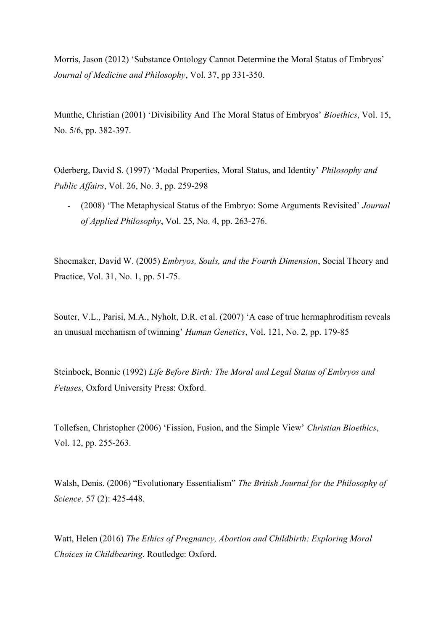Morris, Jason (2012) 'Substance Ontology Cannot Determine the Moral Status of Embryos' *Journal of Medicine and Philosophy*, Vol. 37, pp 331-350.

Munthe, Christian (2001) 'Divisibility And The Moral Status of Embryos' *Bioethics*, Vol. 15, No. 5/6, pp. 382-397.

Oderberg, David S. (1997) 'Modal Properties, Moral Status, and Identity' *Philosophy and Public Affairs*, Vol. 26, No. 3, pp. 259-298

- (2008) 'The Metaphysical Status of the Embryo: Some Arguments Revisited' *Journal of Applied Philosophy*, Vol. 25, No. 4, pp. 263-276.

Shoemaker, David W. (2005) *Embryos, Souls, and the Fourth Dimension*, Social Theory and Practice, Vol. 31, No. 1, pp. 51-75.

Souter, V.L., Parisi, M.A., Nyholt, D.R. et al. (2007) 'A case of true hermaphroditism reveals an unusual mechanism of twinning' *Human Genetics*, Vol. 121, No. 2, pp. 179-85

Steinbock, Bonnie (1992) *Life Before Birth: The Moral and Legal Status of Embryos and Fetuses*, Oxford University Press: Oxford.

Tollefsen, Christopher (2006) 'Fission, Fusion, and the Simple View' *Christian Bioethics*, Vol. 12, pp. 255-263.

Walsh, Denis. (2006) "Evolutionary Essentialism" *The British Journal for the Philosophy of Science*. 57 (2): 425-448.

Watt, Helen (2016) *The Ethics of Pregnancy, Abortion and Childbirth: Exploring Moral Choices in Childbearing*. Routledge: Oxford.